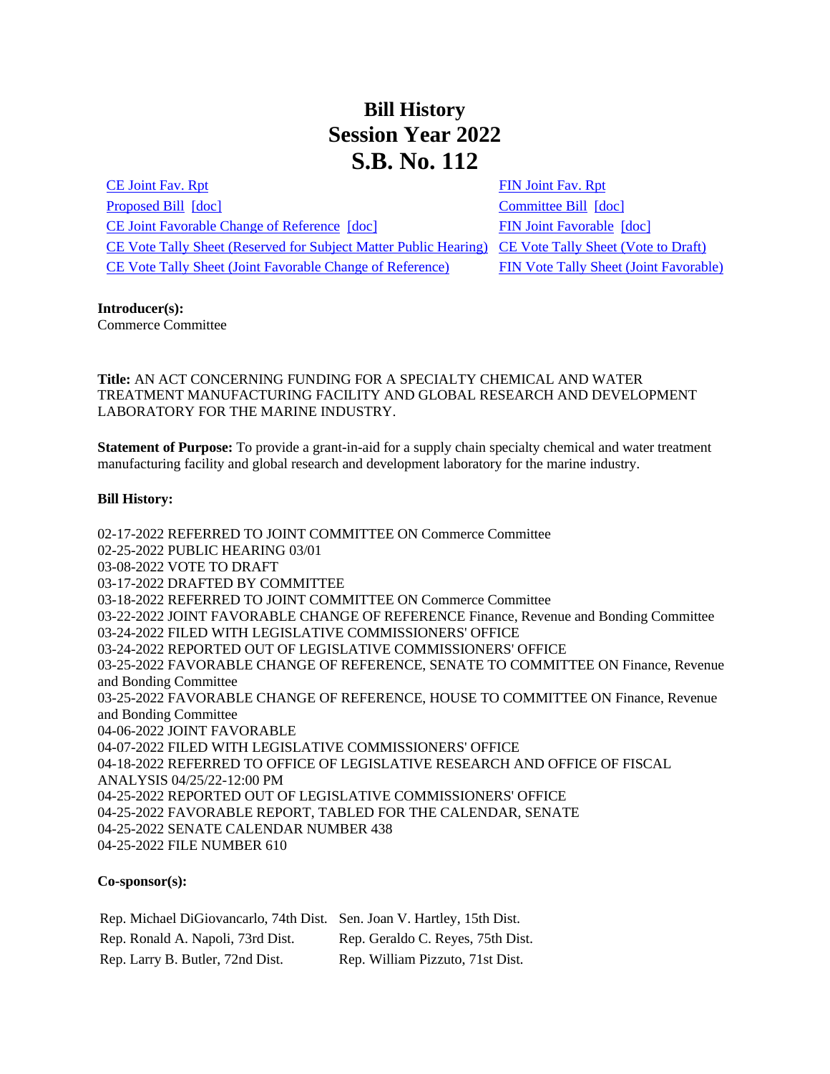## **Bill History Session Year 2022 S.B. No. 112**

[CE Joint Fav. Rpt](/2022/JFR/S/PDF/2022SB-00112-R00CE-JFR.PDF) [FIN Joint Fav. Rpt](/2022/JFR/S/PDF/2022SB-00112-R00FIN-JFR.PDF) [Proposed Bill](/2022/TOB/S/PDF/2022SB-00112-R00-SB.PDF) [\[doc\]](https://search.cga.state.ct.us/dl2022/TOB/DOC/2022SB-00112-R01-SB.DOCX) [Committee Bill](/2022/TOB/S/PDF/2022SB-00112-R01-SB.PDF) [doc] [CE Joint Favorable Change of Reference](/2022/TOB/S/PDF/2022SB-00112-R02-SB.PDF) [\[doc\]](https://search.cga.state.ct.us/dl2022/TOB/DOC/2022SB-00112-R02-SB.DOCX) [FIN Joint Favorable](/2022/TOB/S/PDF/2022SB-00112-R03-SB.PDF) [\[doc\]](https://search.cga.state.ct.us/dl2022/TOB/DOC/2022SB-00112-R03-SB.DOCX) [CE Vote Tally Sheet \(Reserved for Subject Matter Public Hearing\)](/2022/TS/S/PDF/2022SB-00112-R00CE-CV30-TS.PDF) [CE Vote Tally Sheet \(Vote to Draft\)](/2022/TS/S/PDF/2022SB-00112-R00CE-CV34-TS.PDF) [CE Vote Tally Sheet \(Joint Favorable Change of Reference\)](/2022/TS/S/PDF/2022SB-00112-R00CE-CV63-TS.PDF) [FIN Vote Tally Sheet \(Joint Favorable\)](/2022/TS/S/PDF/2022SB-00112-R00FIN-CV108-TS.PDF)

## **Introducer(s):**

Commerce Committee

**Title:** AN ACT CONCERNING FUNDING FOR A SPECIALTY CHEMICAL AND WATER TREATMENT MANUFACTURING FACILITY AND GLOBAL RESEARCH AND DEVELOPMENT LABORATORY FOR THE MARINE INDUSTRY.

**Statement of Purpose:** To provide a grant-in-aid for a supply chain specialty chemical and water treatment manufacturing facility and global research and development laboratory for the marine industry.

## **Bill History:**

02-17-2022 REFERRED TO JOINT COMMITTEE ON Commerce Committee 02-25-2022 PUBLIC HEARING 03/01 03-08-2022 VOTE TO DRAFT 03-17-2022 DRAFTED BY COMMITTEE 03-18-2022 REFERRED TO JOINT COMMITTEE ON Commerce Committee 03-22-2022 JOINT FAVORABLE CHANGE OF REFERENCE Finance, Revenue and Bonding Committee 03-24-2022 FILED WITH LEGISLATIVE COMMISSIONERS' OFFICE 03-24-2022 REPORTED OUT OF LEGISLATIVE COMMISSIONERS' OFFICE 03-25-2022 FAVORABLE CHANGE OF REFERENCE, SENATE TO COMMITTEE ON Finance, Revenue and Bonding Committee 03-25-2022 FAVORABLE CHANGE OF REFERENCE, HOUSE TO COMMITTEE ON Finance, Revenue and Bonding Committee 04-06-2022 JOINT FAVORABLE 04-07-2022 FILED WITH LEGISLATIVE COMMISSIONERS' OFFICE 04-18-2022 REFERRED TO OFFICE OF LEGISLATIVE RESEARCH AND OFFICE OF FISCAL ANALYSIS 04/25/22-12:00 PM 04-25-2022 REPORTED OUT OF LEGISLATIVE COMMISSIONERS' OFFICE 04-25-2022 FAVORABLE REPORT, TABLED FOR THE CALENDAR, SENATE 04-25-2022 SENATE CALENDAR NUMBER 438 04-25-2022 FILE NUMBER 610

## **Co-sponsor(s):**

Rep. Michael DiGiovancarlo, 74th Dist. Sen. Joan V. Hartley, 15th Dist. Rep. Ronald A. Napoli, 73rd Dist. Rep. Geraldo C. Reyes, 75th Dist. Rep. Larry B. Butler, 72nd Dist. Rep. William Pizzuto, 71st Dist.